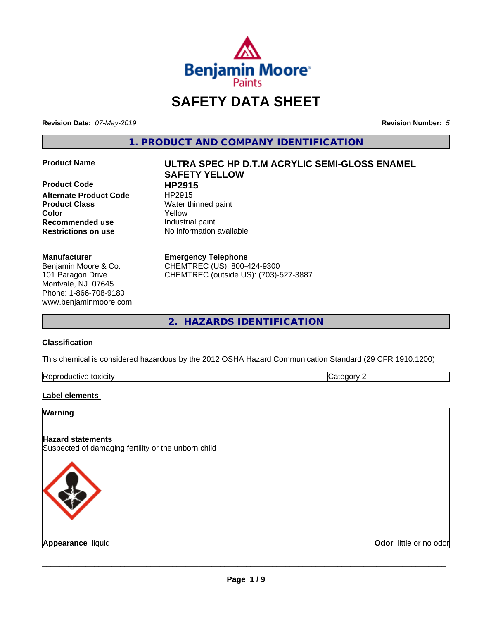

# **SAFETY DATA SHEET**

**Revision Date:** *07-May-2019* **Revision Number:** *5*

**1. PRODUCT AND COMPANY IDENTIFICATION**

**Product Code HP2915**<br> **Alternate Product Code** HP2915 **Alternate Product Code Product Class** Water thinned paint **Recommended use** Industrial paint **Restrictions on use** No information available

#### **Manufacturer**

Benjamin Moore & Co. 101 Paragon Drive Montvale, NJ 07645 Phone: 1-866-708-9180 www.benjaminmoore.com

# **Product Name ULTRA SPEC HP D.T.M ACRYLIC SEMI-GLOSS ENAMEL SAFETY YELLOW Color** Yellow

#### **Emergency Telephone**

CHEMTREC (US): 800-424-9300 CHEMTREC (outside US): (703)-527-3887

**2. HAZARDS IDENTIFICATION**

#### **Classification**

This chemical is considered hazardous by the 2012 OSHA Hazard Communication Standard (29 CFR 1910.1200)

| toxicity<br>Repr.<br>oductive | ĸ<br>- - -<br>.ат<br>ιr<br>51 J L |
|-------------------------------|-----------------------------------|

#### **Label elements**

#### **Warning**

#### **Hazard statements** Suspected of damaging fertility or the unborn child



**Appearance** liquid **Contract Contract Contract Contract Contract Contract Contract Contract Contract Contract Contract Contract Contract Contract Contract Contract Contract Contract Contract Contract Contract Contract Con**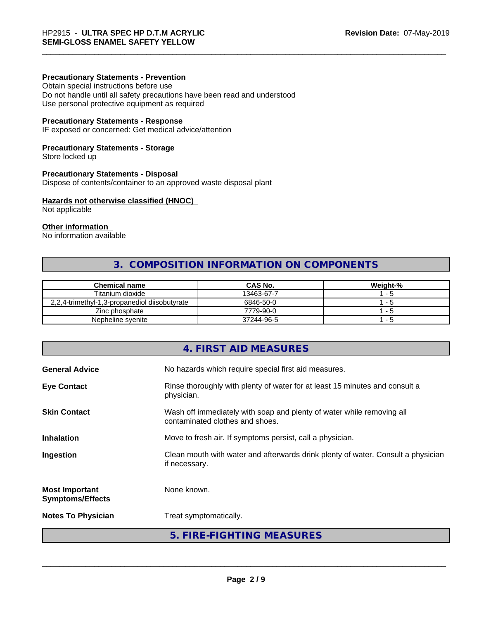#### **Precautionary Statements - Prevention**

Obtain special instructions before use Do not handle until all safety precautions have been read and understood Use personal protective equipment as required

#### **Precautionary Statements - Response**

IF exposed or concerned: Get medical advice/attention

#### **Precautionary Statements - Storage**

Store locked up

#### **Precautionary Statements - Disposal**

Dispose of contents/container to an approved waste disposal plant

#### **Hazards not otherwise classified (HNOC)**

Not applicable

#### **Other information**

No information available

# **3. COMPOSITION INFORMATION ON COMPONENTS**

| <b>Chemical name</b>                          | <b>CAS No.</b> | Weight-% |
|-----------------------------------------------|----------------|----------|
| Titanium dioxide                              | 13463-67-7     | - 5      |
| 2,2,4-trimethyl-1,3-propanediol diisobutyrate | 6846-50-0      | - 5      |
| Zinc phosphate                                | 7779-90-0      | - 5      |
| Nepheline syenite                             | 37244-96-5     | - 5      |

# **4. FIRST AID MEASURES General Advice** No hazards which require special first aid measures. **Eye Contact Rinse thoroughly with plenty of water for at least 15 minutes and consult a** physician. **Skin Contact** Wash off immediately with soap and plenty of water while removing all contaminated clothes and shoes. **Inhalation** Move to fresh air. If symptoms persist, call a physician. **Ingestion Example 2** Clean mouth with water and afterwards drink plenty of water. Consult a physician if necessary. **Most Important Symptoms/Effects** None known. **Notes To Physician** Treat symptomatically. **5. FIRE-FIGHTING MEASURES**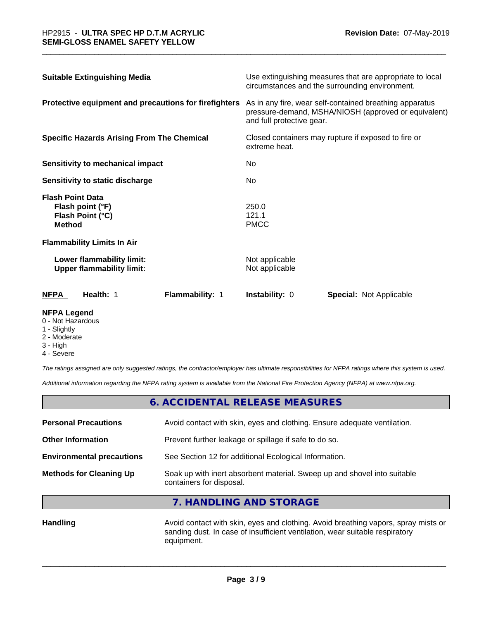| <b>Suitable Extinguishing Media</b>                                              | Use extinguishing measures that are appropriate to local<br>circumstances and the surrounding environment.                                   |
|----------------------------------------------------------------------------------|----------------------------------------------------------------------------------------------------------------------------------------------|
| Protective equipment and precautions for firefighters                            | As in any fire, wear self-contained breathing apparatus<br>pressure-demand, MSHA/NIOSH (approved or equivalent)<br>and full protective gear. |
| <b>Specific Hazards Arising From The Chemical</b>                                | Closed containers may rupture if exposed to fire or<br>extreme heat.                                                                         |
| Sensitivity to mechanical impact                                                 | No.                                                                                                                                          |
| Sensitivity to static discharge                                                  | No.                                                                                                                                          |
| <b>Flash Point Data</b><br>Flash point (°F)<br>Flash Point (°C)<br><b>Method</b> | 250.0<br>121.1<br><b>PMCC</b>                                                                                                                |
| <b>Flammability Limits In Air</b>                                                |                                                                                                                                              |
| Lower flammability limit:<br><b>Upper flammability limit:</b>                    | Not applicable<br>Not applicable                                                                                                             |
| <b>NFPA</b><br>Health: 1<br>Flammability: 1                                      | <b>Instability: 0</b><br><b>Special: Not Applicable</b>                                                                                      |

#### **NFPA Legend**

- 0 Not Hazardous
- 1 Slightly
- 2 Moderate
- 3 High
- 4 Severe

*The ratings assigned are only suggested ratings, the contractor/employer has ultimate responsibilities for NFPA ratings where this system is used.*

*Additional information regarding the NFPA rating system is available from the National Fire Protection Agency (NFPA) at www.nfpa.org.*

|                                  | 6. ACCIDENTAL RELEASE MEASURES                                                                       |  |
|----------------------------------|------------------------------------------------------------------------------------------------------|--|
| <b>Personal Precautions</b>      | Avoid contact with skin, eyes and clothing. Ensure adequate ventilation.                             |  |
| <b>Other Information</b>         | Prevent further leakage or spillage if safe to do so.                                                |  |
| <b>Environmental precautions</b> | See Section 12 for additional Ecological Information.                                                |  |
| <b>Methods for Cleaning Up</b>   | Soak up with inert absorbent material. Sweep up and shovel into suitable<br>containers for disposal. |  |

**7. HANDLING AND STORAGE**

Handling **Handling Avoid contact with skin, eyes and clothing. Avoid breathing vapors, spray mists or** sanding dust. In case of insufficient ventilation, wear suitable respiratory equipment.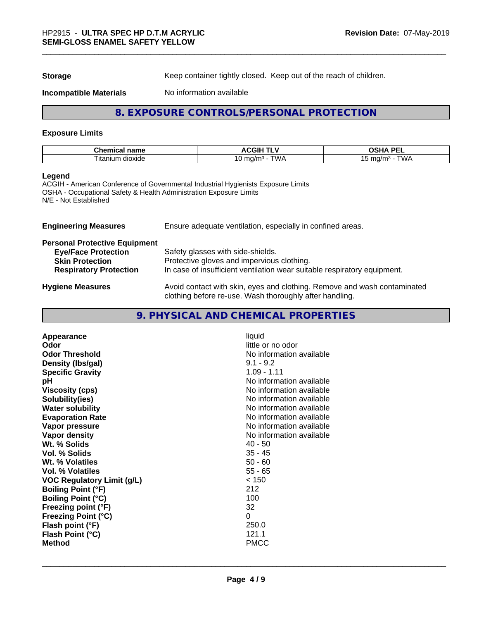**Storage** Keep container tightly closed. Keep out of the reach of children.

**Incompatible Materials** No information available

## **8. EXPOSURE CONTROLS/PERSONAL PROTECTION**

#### **Exposure Limits**

| . .<br>--<br>ים ה<br>чика.<br>паше | ⊣اف<br>"<br>.     | <b>DE</b><br>$\mathbf{r}$<br>-- |
|------------------------------------|-------------------|---------------------------------|
| ' ita<br>n dioxide<br>ាបេក         | ^ ^<br>…a/m∘<br>м | . .<br>∆ו∧ר<br>ma<br>$\sim$     |

#### **Legend**

ACGIH - American Conference of Governmental Industrial Hygienists Exposure Limits OSHA - Occupational Safety & Health Administration Exposure Limits N/E - Not Established

| <b>Engineering Measures</b>          | Ensure adequate ventilation, especially in confined areas.                                                                          |
|--------------------------------------|-------------------------------------------------------------------------------------------------------------------------------------|
| <b>Personal Protective Equipment</b> |                                                                                                                                     |
| <b>Eye/Face Protection</b>           | Safety glasses with side-shields.                                                                                                   |
| <b>Skin Protection</b>               | Protective gloves and impervious clothing.                                                                                          |
| <b>Respiratory Protection</b>        | In case of insufficient ventilation wear suitable respiratory equipment.                                                            |
| <b>Hygiene Measures</b>              | Avoid contact with skin, eyes and clothing. Remove and wash contaminated<br>clothing before re-use. Wash thoroughly after handling. |

# **9. PHYSICAL AND CHEMICAL PROPERTIES**

| liquid<br>little or no odor<br>No information available<br>$9.1 - 9.2$<br>$1.09 - 1.11$<br>No information available<br>No information available<br>No information available<br>No information available<br>No information available<br>No information available<br>No information available<br>40 - 50<br>$35 - 45$<br>$50 - 60$<br>$55 - 65$<br>< 150<br>212<br>100<br>32<br>0<br>250.0 |
|------------------------------------------------------------------------------------------------------------------------------------------------------------------------------------------------------------------------------------------------------------------------------------------------------------------------------------------------------------------------------------------|
| 121.1<br><b>PMCC</b>                                                                                                                                                                                                                                                                                                                                                                     |
|                                                                                                                                                                                                                                                                                                                                                                                          |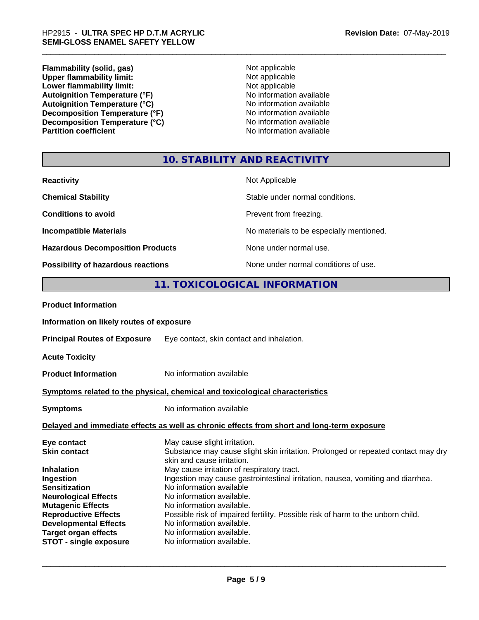**Flammability (solid, gas)** Not applicable<br>
Upper flammability limit:<br>
Not applicable **Upper flammability limit:**<br> **Lower flammability limit:**<br>
Not applicable<br>
Not applicable **Lower flammability limit:**<br> **Autoignition Temperature (°F)**<br>
Mo information available Autoignition Temperature (°F)<br>
Autoignition Temperature (°C)<br>
No information available Autoignition Temperature (°C)<br>
Decomposition Temperature (°F)<br>
No information available **Decomposition Temperature (°F)**<br> **Decomposition Temperature (°C)**<br>
No information available **Decomposition Temperature (°C)**<br>Partition coefficient

**No information available** 

### **10. STABILITY AND REACTIVITY**

| <b>Reactivity</b>                         | Not Applicable                           |
|-------------------------------------------|------------------------------------------|
| <b>Chemical Stability</b>                 | Stable under normal conditions.          |
| <b>Conditions to avoid</b>                | Prevent from freezing.                   |
| <b>Incompatible Materials</b>             | No materials to be especially mentioned. |
| <b>Hazardous Decomposition Products</b>   | None under normal use.                   |
| <b>Possibility of hazardous reactions</b> | None under normal conditions of use.     |

## **11. TOXICOLOGICAL INFORMATION**

| <b>Product Information</b>               |                                                                                                                   |
|------------------------------------------|-------------------------------------------------------------------------------------------------------------------|
| Information on likely routes of exposure |                                                                                                                   |
|                                          | <b>Principal Routes of Exposure</b> Eye contact, skin contact and inhalation.                                     |
| <b>Acute Toxicity</b>                    |                                                                                                                   |
| <b>Product Information</b>               | No information available                                                                                          |
|                                          | Symptoms related to the physical, chemical and toxicological characteristics                                      |
| <b>Symptoms</b>                          | No information available                                                                                          |
|                                          | Delayed and immediate effects as well as chronic effects from short and long-term exposure                        |
| Eye contact<br><b>Skin contact</b>       | May cause slight irritation.<br>Substance may cause slight skin irritation. Prolonged or repeated contact may dry |
|                                          | skin and cause irritation.                                                                                        |
| <b>Inhalation</b>                        | May cause irritation of respiratory tract.                                                                        |
| Ingestion                                | Ingestion may cause gastrointestinal irritation, nausea, vomiting and diarrhea.                                   |
| <b>Sensitization</b>                     | No information available                                                                                          |
| <b>Neurological Effects</b>              | No information available.                                                                                         |
| <b>Mutagenic Effects</b>                 | No information available.                                                                                         |
| <b>Reproductive Effects</b>              | Possible risk of impaired fertility. Possible risk of harm to the unborn child.                                   |
| <b>Developmental Effects</b>             | No information available.                                                                                         |
| <b>Target organ effects</b>              | No information available.                                                                                         |
| <b>STOT - single exposure</b>            | No information available.                                                                                         |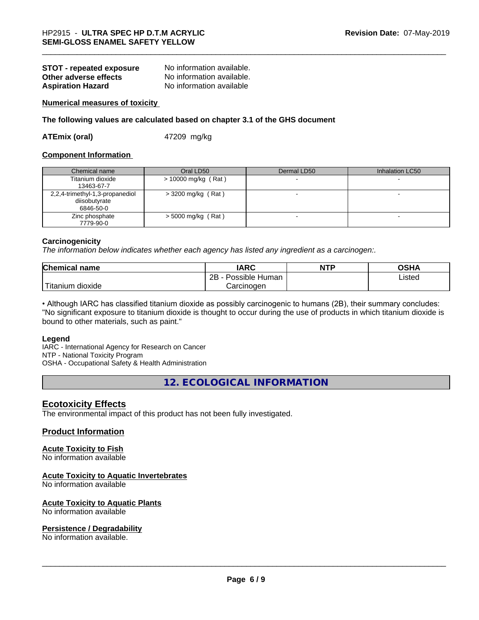| <b>STOT - repeated exposure</b> | No information available. |
|---------------------------------|---------------------------|
| Other adverse effects           | No information available. |
| <b>Aspiration Hazard</b>        | No information available  |

#### **Numerical measures of toxicity**

#### **The following values are calculated based on chapter 3.1 of the GHS document**

**ATEmix (oral)** 47209 mg/kg

#### **Component Information**

| Chemical name                   | Oral LD50            | Dermal LD50 | Inhalation LC50 |
|---------------------------------|----------------------|-------------|-----------------|
| Titanium dioxide                | > 10000 mg/kg (Rat)  |             |                 |
| 13463-67-7                      |                      |             |                 |
| 2,2,4-trimethyl-1,3-propanediol | $>$ 3200 mg/kg (Rat) |             |                 |
| diisobutyrate                   |                      |             |                 |
| 6846-50-0                       |                      |             |                 |
| Zinc phosphate                  | $>$ 5000 mg/kg (Rat) |             |                 |
| 7779-90-0                       |                      |             |                 |

#### **Carcinogenicity**

*The information below indicateswhether each agency has listed any ingredient as a carcinogen:.*

| <b>Chemical name</b>                       | <b>IARC</b>          | <b>NTP</b> | OSHA   |  |
|--------------------------------------------|----------------------|------------|--------|--|
|                                            | 2B<br>Possible Human |            | Listed |  |
| $'$ Titanium $\overline{.}$<br>n dioxide : | Carcinoɑen           |            |        |  |

• Although IARC has classified titanium dioxide as possibly carcinogenic to humans (2B), their summary concludes: "No significant exposure to titanium dioxide is thought to occur during the use of products in which titanium dioxide is bound to other materials, such as paint."

#### **Legend**

IARC - International Agency for Research on Cancer NTP - National Toxicity Program OSHA - Occupational Safety & Health Administration

**12. ECOLOGICAL INFORMATION**

#### **Ecotoxicity Effects**

The environmental impact of this product has not been fully investigated.

#### **Product Information**

#### **Acute Toxicity to Fish**

No information available

#### **Acute Toxicity to Aquatic Invertebrates**

No information available

#### **Acute Toxicity to Aquatic Plants**

No information available

#### **Persistence / Degradability**

No information available.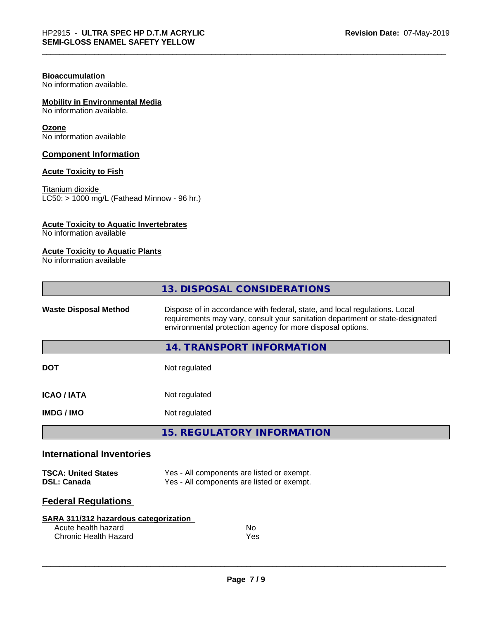#### **Bioaccumulation**

No information available.

#### **Mobility in Environmental Media**

No information available.

#### **Ozone**

No information available

#### **Component Information**

#### **Acute Toxicity to Fish**

Titanium dioxide  $LC50: > 1000$  mg/L (Fathead Minnow - 96 hr.)

#### **Acute Toxicity to Aquatic Invertebrates**

No information available

### **Acute Toxicity to Aquatic Plants**

No information available

|                                                  | 13. DISPOSAL CONSIDERATIONS                                                                                                                                                                                               |  |
|--------------------------------------------------|---------------------------------------------------------------------------------------------------------------------------------------------------------------------------------------------------------------------------|--|
| <b>Waste Disposal Method</b>                     | Dispose of in accordance with federal, state, and local regulations. Local<br>requirements may vary, consult your sanitation department or state-designated<br>environmental protection agency for more disposal options. |  |
|                                                  | 14. TRANSPORT INFORMATION                                                                                                                                                                                                 |  |
| <b>DOT</b>                                       | Not regulated                                                                                                                                                                                                             |  |
| <b>ICAO/IATA</b>                                 | Not regulated                                                                                                                                                                                                             |  |
| <b>IMDG / IMO</b>                                | Not regulated                                                                                                                                                                                                             |  |
|                                                  | <b>15. REGULATORY INFORMATION</b>                                                                                                                                                                                         |  |
| <b>International Inventories</b>                 |                                                                                                                                                                                                                           |  |
| <b>TSCA: United States</b><br><b>DSL: Canada</b> | Yes - All components are listed or exempt.<br>Yes - All components are listed or exempt.                                                                                                                                  |  |

# **Federal Regulations**

| SARA 311/312 hazardous categorization |     |  |
|---------------------------------------|-----|--|
| Acute health hazard                   | No. |  |
| Chronic Health Hazard                 | Yes |  |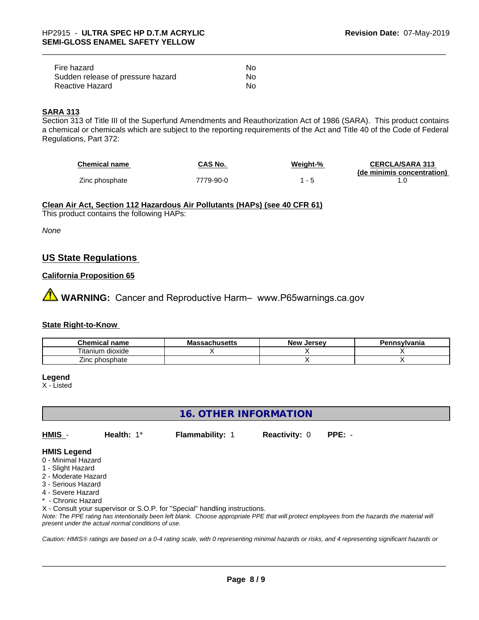| Fire hazard                       | N٥ |
|-----------------------------------|----|
| Sudden release of pressure hazard | N٥ |
| Reactive Hazard                   | No |

#### **SARA 313**

Section 313 of Title III of the Superfund Amendments and Reauthorization Act of 1986 (SARA). This product contains a chemical or chemicals which are subject to the reporting requirements of the Act and Title 40 of the Code of Federal Regulations, Part 372:

| <b>Chemical name</b> | CAS No.   | Weight-% | <b>CERCLA/SARA 313</b>     |
|----------------------|-----------|----------|----------------------------|
|                      |           |          | (de minimis concentration) |
| Zinc phosphate       | 7779-90-0 |          |                            |

**Clean Air Act,Section 112 Hazardous Air Pollutants (HAPs) (see 40 CFR 61)**

This product contains the following HAPs:

*None*

### **US State Regulations**

#### **California Proposition 65**

**AN** WARNING: Cancer and Reproductive Harm– www.P65warnings.ca.gov

#### **State Right-to-Know**

| `hemicaı<br>name<br>اد                 | IVIC<br>avnustus | ∴Jerse∨<br><b>Nev</b> | ≅'''vania |
|----------------------------------------|------------------|-----------------------|-----------|
| $- -$<br>.<br>.um<br>dioxide<br>ltanii |                  |                       |           |
| _<br>hosphate<br>∠inc∴<br>IJ           |                  |                       |           |

**Legend**

X - Listed

**16. OTHER INFORMATION**

**HMIS** - **Health:** 1\* **Flammability:** 1 **Reactivity:** 0 **PPE:** -

 $\overline{\phantom{a}}$  ,  $\overline{\phantom{a}}$  ,  $\overline{\phantom{a}}$  ,  $\overline{\phantom{a}}$  ,  $\overline{\phantom{a}}$  ,  $\overline{\phantom{a}}$  ,  $\overline{\phantom{a}}$  ,  $\overline{\phantom{a}}$  ,  $\overline{\phantom{a}}$  ,  $\overline{\phantom{a}}$  ,  $\overline{\phantom{a}}$  ,  $\overline{\phantom{a}}$  ,  $\overline{\phantom{a}}$  ,  $\overline{\phantom{a}}$  ,  $\overline{\phantom{a}}$  ,  $\overline{\phantom{a}}$ 

#### **HMIS Legend**

- 0 Minimal Hazard
- 1 Slight Hazard
- 2 Moderate Hazard
- 3 Serious Hazard
- 4 Severe Hazard
- **Chronic Hazard**

X - Consult your supervisor or S.O.P. for "Special" handling instructions.

*Note: The PPE rating has intentionally been left blank. Choose appropriate PPE that will protect employees from the hazards the material will present under the actual normal conditions of use.*

*Caution: HMISÒ ratings are based on a 0-4 rating scale, with 0 representing minimal hazards or risks, and 4 representing significant hazards or*